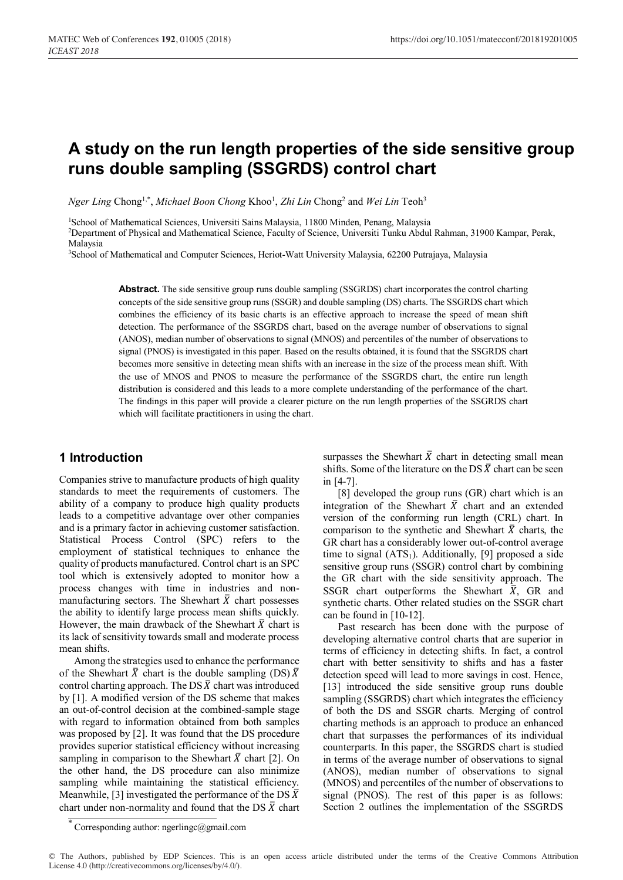# **A study on the run length properties of the side sensitive group runs double sampling (SSGRDS) control chart**

 $N$ ger Ling Chong<sup>1,\*</sup>, *Michael Boon Chong* Khoo<sup>1</sup>, *Zhi Lin* Chong<sup>2</sup> and *Wei Lin* Teoh<sup>3</sup>

<sup>1</sup>School of Mathematical Sciences, Universiti Sains Malaysia, 11800 Minden, Penang, Malaysia

2 Department of Physical and Mathematical Science, Faculty of Science, Universiti Tunku Abdul Rahman, 31900 Kampar, Perak, Malaysia

<sup>3</sup>School of Mathematical and Computer Sciences, Heriot-Watt University Malaysia, 62200 Putrajaya, Malaysia

**Abstract.** The side sensitive group runs double sampling (SSGRDS) chart incorporates the control charting concepts of the side sensitive group runs (SSGR) and double sampling (DS) charts. The SSGRDS chart which combines the efficiency of its basic charts is an effective approach to increase the speed of mean shift detection. The performance of the SSGRDS chart, based on the average number of observations to signal (ANOS), median number of observations to signal (MNOS) and percentiles of the number of observations to signal (PNOS) is investigated in this paper. Based on the results obtained, it is found that the SSGRDS chart becomes more sensitive in detecting mean shifts with an increase in the size of the process mean shift. With the use of MNOS and PNOS to measure the performance of the SSGRDS chart, the entire run length distribution is considered and this leads to a more complete understanding of the performance of the chart. The findings in this paper will provide a clearer picture on the run length properties of the SSGRDS chart which will facilitate practitioners in using the chart.

# **1 Introduction**

Companies strive to manufacture products of high quality standards to meet the requirements of customers. The ability of a company to produce high quality products leads to a competitive advantage over other companies and is a primary factor in achieving customer satisfaction. Statistical Process Control (SPC) refers to the employment of statistical techniques to enhance the quality of products manufactured. Control chart is an SPC tool which is extensively adopted to monitor how a process changes with time in industries and nonmanufacturing sectors. The Shewhart  $\bar{X}$  chart possesses the ability to identify large process mean shifts quickly. However, the main drawback of the Shewhart  $\bar{X}$  chart is its lack of sensitivity towards small and moderate process mean shifts.

Among the strategies used to enhance the performance of the Shewhart  $\bar{X}$  chart is the double sampling (DS)  $\bar{X}$ control charting approach. The DS  $\bar{X}$  chart was introduced by [1]. A modified version of the DS scheme that makes an out-of-control decision at the combined-sample stage with regard to information obtained from both samples was proposed by [2]. It was found that the DS procedure provides superior statistical efficiency without increasing sampling in comparison to the Shewhart  $\bar{X}$  chart [2]. On the other hand, the DS procedure can also minimize sampling while maintaining the statistical efficiency. Meanwhile, [3] investigated the performance of the DS  $\bar{X}$ chart under non-normality and found that the DS  $\bar{X}$  chart surpasses the Shewhart  $\bar{X}$  chart in detecting small mean shifts. Some of the literature on the DS  $\bar{X}$  chart can be seen in [4-7].

[8] developed the group runs (GR) chart which is an integration of the Shewhart  $\bar{X}$  chart and an extended version of the conforming run length (CRL) chart. In comparison to the synthetic and Shewhart  $\bar{X}$  charts, the GR chart has a considerably lower out-of-control average time to signal  $(ATS<sub>1</sub>)$ . Additionally, [9] proposed a side sensitive group runs (SSGR) control chart by combining the GR chart with the side sensitivity approach. The SSGR chart outperforms the Shewhart  $\overline{X}$ , GR and synthetic charts. Other related studies on the SSGR chart can be found in [10-12].

Past research has been done with the purpose of developing alternative control charts that are superior in terms of efficiency in detecting shifts. In fact, a control chart with better sensitivity to shifts and has a faster detection speed will lead to more savings in cost. Hence, [13] introduced the side sensitive group runs double sampling (SSGRDS) chart which integrates the efficiency of both the DS and SSGR charts. Merging of control charting methods is an approach to produce an enhanced chart that surpasses the performances of its individual counterparts. In this paper, the SSGRDS chart is studied in terms of the average number of observations to signal (ANOS), median number of observations to signal (MNOS) and percentiles of the number of observations to signal (PNOS). The rest of this paper is as follows: Section 2 outlines the implementation of the SSGRDS

Corresponding author: ngerlingc@gmail.com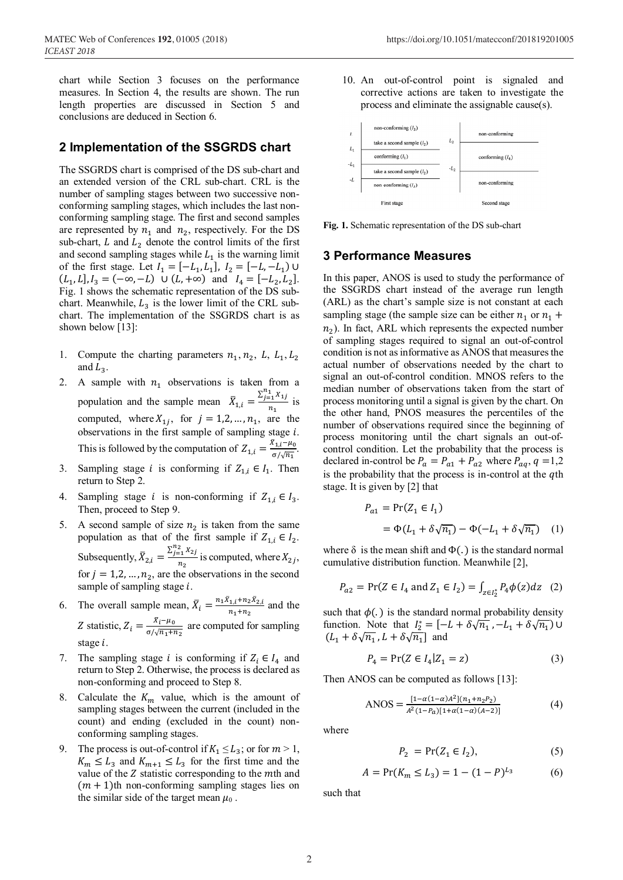chart while Section 3 focuses on the performance measures. In Section 4, the results are shown. The run length properties are discussed in Section 5 and conclusions are deduced in Section 6.

## 2 Implementation of the SSGRDS chart

The SSGRDS chart is comprised of the DS sub-chart and an extended version of the CRL sub-chart. CRL is the number of sampling stages between two successive nonconforming sampling stages, which includes the last nonconforming sampling stage. The first and second samples are represented by  $n_1$  and  $n_2$ , respectively. For the DS sub-chart,  $L$  and  $L_2$  denote the control limits of the first and second sampling stages while  $L_1$  is the warning limit of the first stage. Let  $I_1 = [-L_1, L_1]$ ,  $I_2 = [-L, -L_1]$  U  $(L_1, L]$ ,  $I_3 = (-\infty, -L)$   $\cup$   $(L, +\infty)$  and  $I_4 = [-L_2, L_2]$ . Fig. 1 shows the schematic representation of the DS subchart. Meanwhile,  $L_3$  is the lower limit of the CRL subchart. The implementation of the SSGRDS chart is as shown below  $[13]$ :

- $1.$ Compute the charting parameters  $n_1$ ,  $n_2$ , L,  $L_1$ , L<sub>2</sub> and  $L_3$ .
- 2. A sample with  $n_1$  observations is taken from a population and the sample mean  $\bar{X}_{1,i} = \frac{\sum_{j=1}^{n_1} X_{1,j}}{n_1}$  is computed, where  $X_{1i}$ , for  $j = 1, 2, ..., n_1$ , are the observations in the first sample of sampling stage  $i$ . This is followed by the computation of  $Z_{1,i} = \frac{\bar{x}_{1,i} - \mu_0}{\sigma/\sqrt{n_1}}$
- Sampling stage *i* is conforming if  $Z_{1,i} \in I_1$ . Then  $3.$ return to Step 2.
- $4<sub>1</sub>$ Sampling stage *i* is non-conforming if  $Z_{1,i} \in I_3$ . Then, proceed to Step 9.
- A second sample of size  $n_2$  is taken from the same 5. population as that of the first sample if  $Z_{1,i} \in I_2$ . Subsequently,  $\bar{X}_{2,i} = \frac{\sum_{j=1}^{n_2} X_{2j}}{n_2}$  is computed, where  $X_{2j}$ , for  $j = 1, 2, ..., n_2$ , are the observations in the second sample of sampling stage  $i$ .
- 6. The overall sample mean,  $\bar{X}_i = \frac{n_1 \bar{X}_{1,i} + n_2 \bar{X}_{2,i}}{n_1 + n_2}$  and the Z statistic,  $Z_i = \frac{\bar{X}_i - \mu_0}{\sigma/\sqrt{n_1 + n_2}}$  are computed for sampling stage  $i$ .
- 7. The sampling stage *i* is conforming if  $Z_i \n\t\in I_4$  and return to Step 2. Otherwise, the process is declared as non-conforming and proceed to Step 8.
- Calculate the  $K_m$  value, which is the amount of 8. sampling stages between the current (included in the count) and ending (excluded in the count) nonconforming sampling stages.
- 9. The process is out-of-control if  $K_1 \le L_3$ ; or for  $m > 1$ ,  $K_m \leq L_3$  and  $K_{m+1} \leq L_3$  for the first time and the value of the Z statistic corresponding to the mth and  $(m + 1)$ th non-conforming sampling stages lies on the similar side of the target mean  $\mu_0$ .

10. An out-of-control point is signaled and corrective actions are taken to investigate the process and eliminate the assignable cause(s).



Fig. 1. Schematic representation of the DS sub-chart

#### **3 Performance Measures**

In this paper, ANOS is used to study the performance of the SSGRDS chart instead of the average run length (ARL) as the chart's sample size is not constant at each sampling stage (the sample size can be either  $n_1$  or  $n_1$  +  $n_2$ ). In fact, ARL which represents the expected number of sampling stages required to signal an out-of-control condition is not as informative as ANOS that measures the actual number of observations needed by the chart to signal an out-of-control condition. MNOS refers to the median number of observations taken from the start of process monitoring until a signal is given by the chart. On the other hand, PNOS measures the percentiles of the number of observations required since the beginning of process monitoring until the chart signals an out-ofcontrol condition. Let the probability that the process is declared in-control be  $P_a = P_{a1} + P_{a2}$  where  $P_{aq}$ ,  $q = 1,2$ is the probability that the process is in-control at the  $q$ th stage. It is given by [2] that

$$
P_{a1} = Pr(Z_1 \in I_1)
$$
  
=  $\Phi(L_1 + \delta \sqrt{n_1}) - \Phi(-L_1 + \delta \sqrt{n_1})$  (1)

where  $\delta$  is the mean shift and  $\Phi(.)$  is the standard normal cumulative distribution function. Meanwhile [2],

$$
P_{a2} = \Pr(Z \in I_4 \text{ and } Z_1 \in I_2) = \int_{z \in I_2^*} P_4 \phi(z) dz \quad (2)
$$

such that  $\phi(.)$  is the standard normal probability density function. Note that  $I_2^* = [-L + \delta \sqrt{n_1}, -L_1 + \delta \sqrt{n_1})$  $(L_1 + \delta \sqrt{n_1}, L + \delta \sqrt{n_1})$  and

$$
P_4 = \Pr(Z \in I_4 | Z_1 = z) \tag{3}
$$

Then ANOS can be computed as follows [13]:

$$
ANSOS = \frac{[1 - \alpha(1 - \alpha)A^2](n_1 + n_2 P_2)}{A^2(1 - P_a)[1 + \alpha(1 - \alpha)(A - 2)]}
$$
(4)

where

$$
P_2 = \Pr(Z_1 \in I_2),\tag{5}
$$

$$
A = \Pr(K_m \le L_3) = 1 - (1 - P)^{L_3} \tag{6}
$$

such that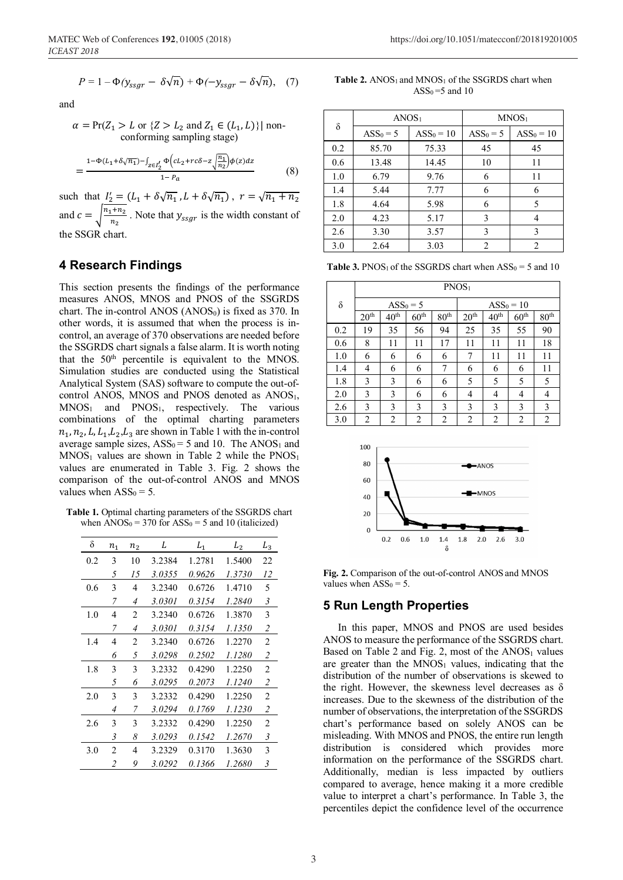$$
P = 1 - \Phi(y_{ssgr} - \delta \sqrt{n}) + \Phi(-y_{ssgr} - \delta \sqrt{n}), \quad (7)
$$

$$
\alpha = \Pr(Z_1 > L \text{ or } \{Z > L_2 \text{ and } Z_1 \in (L_1, L)\} \mid \text{non-conforming sampling stage)}
$$

$$
=\frac{1-\Phi(L_1+\delta\sqrt{n_1})-\int_{z\in I_2'}\Phi\left(cL_2+rc\delta-z\sqrt{\frac{n_1}{n_2}}\right)\phi(z)dz}{1-P_a}
$$
(8)

such that  $I_2 = (L_1 + \delta \sqrt{n_1}, L + \delta \sqrt{n_1})$ ,  $r = \sqrt{n_1 + n_2}$ and  $c = \sqrt{\frac{n_1 + n_2}{n_2}}$ . Note that  $y_{ssgr}$  is the width constant of the SSGR chart.

## **4 Research Findings**

This section presents the findings of the performance measures ANOS, MNOS and PNOS of the SSGRDS chart. The in-control ANOS  $(ANOS<sub>0</sub>)$  is fixed as 370. In other words, it is assumed that when the process is incontrol, an average of 370 observations are needed before the SSGRDS chart signals a false alarm. It is worth noting that the  $50<sup>th</sup>$  percentile is equivalent to the MNOS. Simulation studies are conducted using the Statistical Analytical System (SAS) software to compute the out-ofcontrol ANOS, MNOS and PNOS denoted as ANOS1,  $MNOS<sub>1</sub>$  and  $PNOS<sub>1</sub>$ , respectively. The various combinations of the optimal charting parameters  $n_1$ ,  $n_2$ , L,  $L_1$ ,  $L_2$ ,  $L_3$  are shown in Table 1 with the in-control average sample sizes,  $ASS_0 = 5$  and 10. The  $ANSS_1$  and  $MNOS<sub>1</sub>$  values are shown in Table 2 while the  $PNOS<sub>1</sub>$ values are enumerated in Table 3. Fig. 2 shows the comparison of the out-of-control ANOS and MNOS values when  $ASS_0 = 5$ .

**Table 1.** Optimal charting parameters of the SSGRDS chart when  $\angle$ ANOS<sub>0</sub> = 370 for  $\angle$ ASS<sub>0</sub> = 5 and 10 (italicized)

| δ   | $n_{1}$        | n <sub>2</sub> | L      | ${\cal L}_1$ | $L_2$  | ${\cal L}_3$   |
|-----|----------------|----------------|--------|--------------|--------|----------------|
| 0.2 | 3              | 10             | 3.2384 | 1.2781       | 1.5400 | 22             |
|     | 5              | 15             | 3.0355 | 0.9626       | 1.3730 | 12             |
| 0.6 | 3              | 4              | 3.2340 | 0.6726       | 1.4710 | 5              |
|     | 7              | 4              | 3.0301 | 0.3154       | 1.2840 | 3              |
| 1.0 | 4              | $\overline{2}$ | 3.2340 | 0.6726       | 1.3870 | 3              |
|     | 7              | $\overline{4}$ | 3.0301 | 0.3154       | 1.1350 | $\overline{2}$ |
| 1.4 | 4              | $\overline{c}$ | 3.2340 | 0.6726       | 1.2270 | $\overline{2}$ |
|     | 6              | 5              | 3.0298 | 0.2502       | 1.1280 | $\overline{2}$ |
| 1.8 | 3              | 3              | 3.2332 | 0.4290       | 1.2250 | $\overline{2}$ |
|     | 5              | 6              | 3.0295 | 0.2073       | 1.1240 | $\overline{2}$ |
| 2.0 | 3              | 3              | 3.2332 | 0.4290       | 1.2250 | 2              |
|     | $\overline{4}$ | 7              | 3.0294 | 0.1769       | 1.1230 | $\overline{2}$ |
| 2.6 | 3              | 3              | 3.2332 | 0.4290       | 1.2250 | $\overline{2}$ |
|     | 3              | 8              | 3.0293 | 0.1542       | 1.2670 | 3              |
| 3.0 | $\overline{c}$ | 4              | 3.2329 | 0.3170       | 1.3630 | 3              |
|     | $\overline{2}$ | 9              | 3.0292 | 0.1366       | 1.2680 | 3              |

**Table 2.** ANOS<sub>1</sub> and MNOS<sub>1</sub> of the SSGRDS chart when  $ASS_0 = 5$  and 10

| $\delta$ | ANOS <sub>1</sub> |             | MNOS <sub>1</sub> |                |  |
|----------|-------------------|-------------|-------------------|----------------|--|
|          | $ASS0 = 5$        | $ASS0 = 10$ | $ASS0 = 5$        | $ASS0 = 10$    |  |
| 0.2      | 85.70             | 75.33       | 45                | 45             |  |
| 0.6      | 13.48             | 14.45       | 10                | 11             |  |
| 1.0      | 6.79              | 9.76        | 6                 | 11             |  |
| 1.4      | 5.44              | 7.77        | 6                 | 6              |  |
| 1.8      | 4.64              | 5.98        | 6                 | 5              |  |
| 2.0      | 4.23              | 5.17        | 3                 | 4              |  |
| 2.6      | 3.30              | 3.57        | 3                 | 3              |  |
| 3.0      | 2.64              | 3.03        | $\mathfrak{D}$    | $\overline{2}$ |  |

**Table 3.** PNOS<sub>1</sub> of the SSGRDS chart when  $ASS_0 = 5$  and 10

|     | PNOS <sub>1</sub> |                  |                  |                  |                  |                  |                  |                  |
|-----|-------------------|------------------|------------------|------------------|------------------|------------------|------------------|------------------|
| δ   | $ASS0 = 5$        |                  |                  | $ASS0 = 10$      |                  |                  |                  |                  |
|     | 20 <sup>th</sup>  | 40 <sup>th</sup> | 60 <sup>th</sup> | 80 <sup>th</sup> | 20 <sup>th</sup> | 40 <sup>th</sup> | 60 <sup>th</sup> | 80 <sup>th</sup> |
| 0.2 | 19                | 35               | 56               | 94               | 25               | 35               | 55               | 90               |
| 0.6 | 8                 | 11               | 11               | 17               | 11               | 11               | 11               | 18               |
| 1.0 | 6                 | 6                | 6                | 6                | 7                | 11               | 11               | 11               |
| 1.4 | 4                 | 6                | 6                | 7                | 6                | 6                | 6                | 11               |
| 1.8 | 3                 | 3                | 6                | 6                | 5                | 5                | 5                | 5                |
| 2.0 | 3                 | 3                | 6                | 6                | 4                | 4                | 4                | 4                |
| 2.6 | 3                 | 3                | 3                | 3                | 3                | 3                | 3                | 3                |
| 3.0 | 2                 | 2                | 2                | 2                | $\overline{2}$   | $\overline{2}$   | $\overline{2}$   | $\overline{2}$   |



**Fig. 2.** Comparison of the out-of-control ANOS and MNOS values when  $ASS_0 = 5$ .

#### **5 Run Length Properties**

In this paper, MNOS and PNOS are used besides ANOS to measure the performance of the SSGRDS chart. Based on Table 2 and Fig. 2, most of the  $ANOS<sub>1</sub>$  values are greater than the  $MNOS<sub>1</sub>$  values, indicating that the distribution of the number of observations is skewed to the right. However, the skewness level decreases as  $\delta$ increases. Due to the skewness of the distribution of the number of observations, the interpretation of the SSGRDS chart's performance based on solely ANOS can be misleading. With MNOS and PNOS, the entire run length distribution is considered which provides more information on the performance of the SSGRDS chart. Additionally, median is less impacted by outliers compared to average, hence making it a more credible value to interpret a chart's performance. In Table 3, the percentiles depict the confidence level of the occurrence